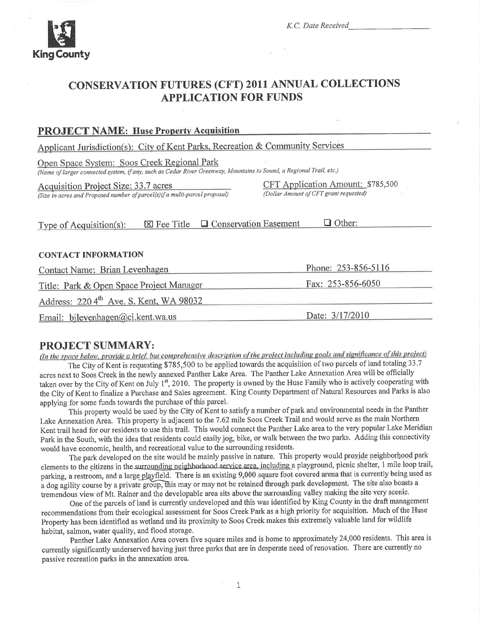

# **CONSERVATION FUTURES (CFT) 2011 ANNUAL COLLECTIONS APPLICATION FOR FUNDS**

### **PROJECT NAME: Huse Property Acquisition**

Applicant Jurisdiction(s): City of Kent Parks, Recreation & Community Services

Open Space System: Soos Creek Regional Park

(Name of larger connected system, if any, such as Cedar River Greenway, Mountains to Sound, a Regional Trail, etc.)

Acquisition Project Size: 33.7 acres

(Size in acres and Proposed number of parcel(s) if a multi-parcel proposal)

CFT Application Amount: \$785,500 (Dollar Amount of CFT grant requested)

Type of Acquisition(s):  $\boxtimes$  Fee Title  $\Box$  Conservation Easement  $\Box$  Other:

#### **CONTACT INFORMATION**

Phone:  $253 - 856 - 5116$ Contact Name: Brian Levenhagen Title: Park & Open Space Project Manager Fax:  $253 - 856 - 6050$ Address: 220 4<sup>th</sup> Ave. S. Kent, WA 98032 Date: 3/17/2010 Email: bilevenhagen@ci.kent.wa.us

# **PROJECT SUMMARY:**

(In the space below, provide a brief, but comprehensive description of the project including goals and significance of this project)

The City of Kent is requesting \$785,500 to be applied towards the acquisition of two parcels of land totaling 33.7 acres next to Soos Creek in the newly annexed Panther Lake Area. The Panther Lake Annexation Area will be officially taken over by the City of Kent on July 1<sup>st</sup>, 2010. The property is owned by the Huse Family who is actively cooperating with the City of Kent to finalize a Purchase and Sales agreement. King County Department of Natural Resources and Parks is also applying for some funds towards the purchase of this parcel.

This property would be used by the City of Kent to satisfy a number of park and environmental needs in the Panther Lake Annexation Area. This property is adjacent to the 7.62 mile Soos Creek Trail and would serve as the main Northern Kent trail head for our residents to use this trail. This would connect the Panther Lake area to the very popular Lake Meridian Park in the South, with the idea that residents could easily jog, bike, or walk between the two parks. Adding this connectivity would have economic, health, and recreational value to the surrounding residents.

The park developed on the site would be mainly passive in nature. This property would provide neighborhood park elements to the citizens in the surrounding neighborhood service area, including a playground, picnic shelter, 1 mile loop trail, parking, a restroom, and a large playfield. There is an existing 9,000 square foot covered arena that is currently being used as a dog agility course by a private group, this may or may not be retained through park development. The site also boasts a tremendous view of Mt. Rainer and the developable area sits above the surrounding valley making the site very scenic.

One of the parcels of land is currently undeveloped and this was identified by King County in the draft management recommendations from their ecological assessment for Soos Creek Park as a high priority for acquisition. Much of the Huse Property has been identified as wetland and its proximity to Soos Creek makes this extremely valuable land for wildlife habitat, salmon, water quality, and flood storage.

Panther Lake Annexation Area covers five square miles and is home to approximately 24,000 residents. This area is currently significantly underserved having just three parks that are in desperate need of renovation. There are currently no passive recreation parks in the annexation area.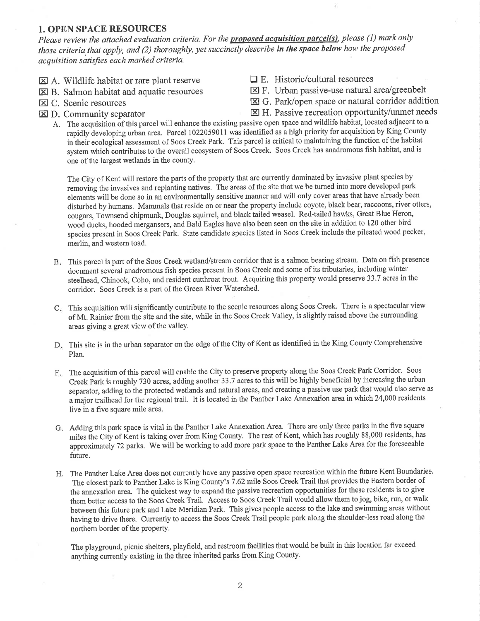#### 1. OPEN SPACE RESOURCES

Please review the attached evaluation criteria. For the **proposed acquisition parcel(s)**, please (1) mark only those criteria that apply, and (2) thoroughly, yet succinctly describe in the space below how the proposed acquisition satisfies each marked criteria.

- $\boxtimes$  A. Wildlife habitat or rare plant reserve  $\Box$  E. Historic/cultural resources
- **EQ B.** Salmon habitat and aquatic resources
- **EX C.** Scenic resources
- $\boxtimes$  D. Community separator
- 
- $\Sigma$  F. Urban passive-use natural area/greenbelt
- $\boxtimes$  G. Park/open space or natural corridor addition
- $\boxtimes$  H. Passive recreation opportunity/unmet needs
- A. The acquisition of this parcel will enhance the existing passive open space and wildlife habitat, located adjacent to a rapidly developing urban area. Parcel 1022059011 was identified as a high priority for acquisition by King County in their ecological assessment of Soos Creek Park. This parcel is critical to maintaining the function of the habitat system which contributes to the overall ecosystem of Soos Creek. Soos Creek has anadromous fish habitat, and is one of the largest wetlands in the county,

The City of Kent will restore the parts of the property that are currently dominated by invasive plant species by removing the invasives and replanting natives. The areas of the site that we be turned into more developed park elements will be done so in an environmentally sensitive manner and will only cover areas that have already been disturbed by humans. Mammals that reside on or near the property include coyote, black bear, raccoons, river otters, cougars, Townsend chipmunk, Douglas squirrel, and black tailed weasel. Red-tailed hawks, Great Blue Heron, wood ducks, hooded mergansers, and Bald Eagles have also been seen on the site in addition to 120 other bird species present in Soos Creek Park. State candidate species listed in Soos Creek include the pileated wood pecker, merlin, and western toad.

- This parcel is part of the Soos Creek wetland/stream corridor that is a salmon bearing stream. Data on fish presence B document several anadromous fish species present in Soos Creek and some of its tributaries, including winter steelhead, Chinook, Coho, and resident cutthroat trout. Acquiring this property would preserve 33.7 acres in the corridor. Soos Creek is a part of the Green River Watershed.
- C. This acquisition will significantly contribute to the scenic resources along Soos Creek. There is a spectacular view of Mt. Rainier from the site and the site, while in the Soos Creek Valley, is slightly raised above the sunounding areas giving a great view of the valley.
- D. This site is in the urban separator on the edge of the City of Kent as identified in the King County Comprehensive Plan.
- F. The acquisition of this parcel will enable the City to preserve property along the Soos Creek Park Corridor. Soos Creek Park is roughly 730 acres, adding another 33.7 acres to this will be highly beneficial by increasing the urban separator, adding to the protected wetlands and natural areas, and creating a passive use park that would also serve as <sup>a</sup>major trailhead for the regional trail. It is located in the Panther Lake Annexation area in which 24,000 residents live in a five square mile area.
- G. Adding this park space is vital in the Panther Lake Annexation Area. There are only three parks in the five square miles ihe City of Kent is taking over from King County. The rest of Kent, which has roughly 88,000 residents, has approximateiy 72 parks. We will be working to add more park space to the Panther Lake Area for the foreseeable future.
- H. The Panther Lake Area does not currently have any passive open space recreation within the future Kent Boundaries. The closest park to Panther Lake is King County's 7 .62 mile Soos Creek Trail that provides the Eastern border of the amexation area. The quickest way to expand the passive recreation opportunities for these residents is to give them better access to the Soos Creek Trail. Access to Soos Creek Trail would allow them to jog, bike, run, or walk between this future park and Lake Meridian Park. This gives people access to the lake and swimming areas without having to drive there. Currently to access the Soos Creek Trail people park along the shoulder-less road along the northern border of the property.

The playground, picnic shelters, playfield, and restroom facilities that would be built in this location far exceed anything cunently existing in the three inherited parks from King County.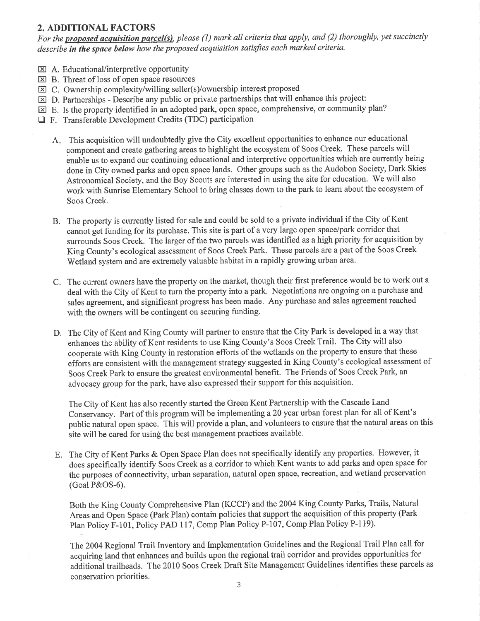## 2. ADDITIONAL FACTORS

For the **proposed acquisition parcel(s)**, please (1) mark all criteria that apply, and (2) thoroughly, yet succinctly describe in the space below how the proposed acquisition satisfies each marked criteria.

- EA. Educational/interpretive opportunity
- El B. Threat of loss of open space resources
- EC. Ownership complexity/willing seller(s)/ownership interest proposed
- $\boxtimes$  D. Partnerships Describe any public or private partnerships that will enhance this project:
- $\boxtimes$  E. Is the property identified in an adopted park, open space, comprehensive, or community plan?
- □ F. Transferable Development Credits (TDC) participation
	- A This acquisition will undoubtedly give the City excellent opportunities to enhance our educational component and create gathering areas to highlight the ecosystem of Soos Creek. These parcels will enable us to expand our continuing educational and interpretive opportunities which are currently being done in City owned parks and open space lands. Other groups such as the Audobon Society, Dark Skies Astronomical Society, and the Boy Scouts are interested in using the site for education. We will also work with Sunrise Elementary School to bring classes down to the park to learn about the ecosystem of Soos Creek.
	- B. The property is currently listed for sale and could be sold to a private individual if the Cify of Kent cannot get funding for its purchase. This site is part of a very large open space/park corridor that surrounds Soos Creek. The larger of the two parcels was iclentified as a high priority for acquisition by King County's ecological assessment of Soos Creek Park. These parcels are a part of the Soos Creek Wetland system and are extremely valuable habitat in a rapidly growing urban area.
	- C. The current owners have the property on the market, though their first preference would be to work out <sup>a</sup> deal with the City of Kent to turn the property into a park. Negotiations are ongoing on a purchase and sales agreement, and significant progress has been made. Any purchase and sales agreement reached with the owners will be contingent on securing funding.
	- D. The City of Kent and King County will partner to ensure that the City Park is developed in a way that enhances the ability of Kent residents to use King County's Soos Creek Trail. The City will also cooperate with King County in restoration efforts of the wetlands on the property to ensure that these efforts are consistent with the management strategy suggested in King County's ecological assessment of Soos Creek Park to ensure the greatest environmental benefit. The Friends of Soos Creek Park, an advocacy group for the park, have also expressed their support for this acquisition.

The City of Kent has also recently started the Green Kent Partnership with the Cascade Land Conseryancy. Part of this program will be implementinga20 year urban forest plan for all of Kent's public natural open space. This will provide a plan, and volunteers to ensure that the natural areas on this site will be cared for using the best management practices available.

E. The City of Kent Parks & Open Space Plan does not specifically identify any properties. However, it does specifically identify Soos Creek as a corridor to which Kent wants to add parks and open space for the purposes of connectivity, urban separation, natural open space, recreation, and wetland preservation (Goal P&OS-6).

Both the King County Comprehensive Plan (KCCP) and the 2004 King County Parks, Trails, Natural Areas and Open Space (Park Plan) contain policies that support the acquisition of this property (Park Plan Policy F-i01, Policy PAD 117, Comp Plan Policy P-107, Comp Plan Policy P-119).

The 2004 Regional Trail Inventory and Implementation Guidelines and the Regional Trail Plan call for acquiring land that enhances and builds upon the regional trail corridor and provides opportunities for additional trailheads. The 2010 Soos Creek Draft Site Management Guidelines identifies these parcels as conservation priorities.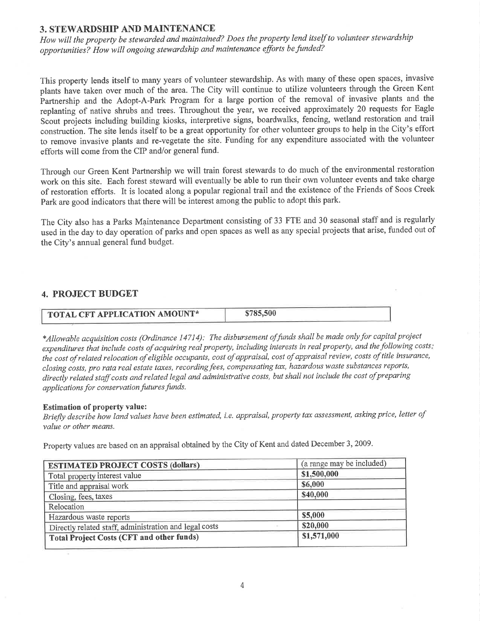### 3. STEWARDSHIP AND MAINTENANCE

How will the property be stewarded and maintained? Does the property lend itself to volunteer stewardship opportunities? How will ongoing stewardship and maintenance efforts befunded?

This property lends itself to many years of volunteer stewardship. As with many of these open spaces, invasive plants have iaken over much of the area. The Cify will continue to utilize volunteers through the Green Kent Þartnership and the Adopt-A-Park Program for a large portion of the removal of invasive plants and the replanting of native shrubs and trees. Throughout the year, we received approximately 20 requests for Eagle Scout projects including building kiosks, interpretive signs, boardwalks, fencing, wetland restoration and trail construction. The site lends itself to be a great opportunity for other volunteer groups to help in the City's effort to remove invasive plants and re-vegetate the site. Funding for any expenditure associated with the volunteer efforts will come from the CIP and/or general fund.

Through our Green Kent Partnership we will train forest stewards to do much of the environmental restoration work on this site. Each forest steward will eventually be able to run their own volunteer events and take charge of restoration efforts. It is located along a popular regional trail and the existence of the Friends of Soos Creek Park are good indicators that there will be interest among the public to adopt this park.

The City also has a Parks Maintenance Department consisting of 33 FTE and 30 seasonal staff and is regularly used in the day to day operation of parks and open spaces as well as any special projects that arise, funded out of the City's annual general fund budget.

## 4. PROJECT BUDGET

| TOTAL CFT APPLICATION AMOUNT* | \$785,500 |
|-------------------------------|-----------|

\*Allowable acquisition costs (Ordinance 14714): The disbursement offunds shall be made onlyfor capital project expenditures that include costs of acquiring real property, including interests in real property, and the following costs: the cost of related relocation of eligible occupants, cost of appraisal, cost of appraisal review, costs of title insurance, closing costs, pro rata real estate taxes, recording fees, compensating tax, hazardous waste substances reports, directly related staff costs and related legal and administrative costs, but shall not include the cost of preparing applications for conservation futures funds.

#### Estimation of property value:

Briefly describe how land values have been estimated, i.e. appraisal, property tax assessment, asking price, letter of value or other means.

Property values are based on an appraisal obtained by the City of Kent and dated December 3,2009.

| <b>ESTIMATED PROJECT COSTS (dollars)</b>               | (a range may be included) |
|--------------------------------------------------------|---------------------------|
| Total property interest value                          | \$1,500,000               |
| Title and appraisal work                               | \$6,000                   |
| Closing, fees, taxes                                   | \$40,000                  |
| Relocation                                             |                           |
| Hazardous waste reports                                | \$5,000                   |
| Directly related staff, administration and legal costs | \$20,000                  |
| <b>Total Project Costs (CFT and other funds)</b>       | \$1,571,000               |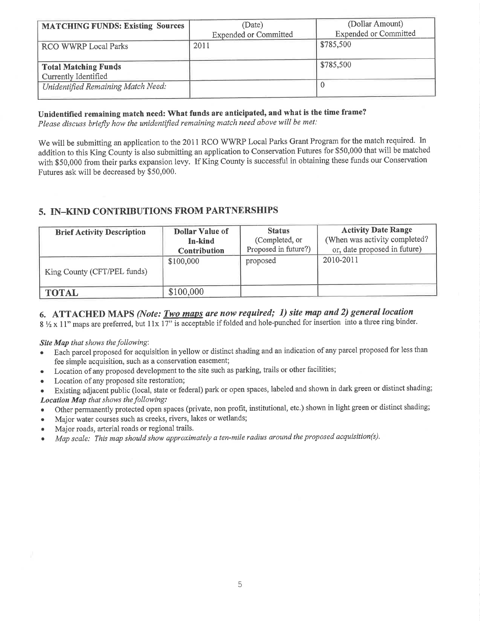| <b>MATCHING FUNDS: Existing Sources</b>             | (Date)<br><b>Expended or Committed</b> | (Dollar Amount)<br><b>Expended or Committed</b> |
|-----------------------------------------------------|----------------------------------------|-------------------------------------------------|
| RCO WWRP Local Parks                                | 2011                                   | \$785,500                                       |
| <b>Total Matching Funds</b><br>Currently Identified |                                        | \$785,500                                       |
| Unidentified Remaining Match Need:                  |                                        |                                                 |

Unidentified remaining match need: What funds are anticipated, and what is the time frame?

Please discuss briefly how the unidentified remaining match need above will be met:

We will be submitting an application to the 2011 RCO WWRP Local Parks Grant Program for the match required. In addition to this King County is also submitting an application to Conservation Futures for \$50,000 that will be matched with \$50,000 from their parks expansion levy. If King County is successful in obtaining these funds our Conservation Futures ask will be decreased by \$50,000.

# 5. IN-KIND CONTRIBUTIONS FROM PARTNERSHIPS

| <b>Brief Activity Description</b> | <b>Dollar Value of</b><br>In-kind<br><b>Contribution</b> | <b>Status</b><br>(Completed, or<br>Proposed in future?) | <b>Activity Date Range</b><br>(When was activity completed?<br>or, date proposed in future) |
|-----------------------------------|----------------------------------------------------------|---------------------------------------------------------|---------------------------------------------------------------------------------------------|
| King County (CFT/PEL funds)       | \$100,000                                                | proposed                                                | 2010-2011                                                                                   |
| <b>TOTAL</b>                      | \$100,000                                                |                                                         |                                                                                             |

# 6. ATTACHED MAPS (Note:  $Two$  maps are now required; 1) site map and 2) general location

 $8\frac{1}{2} \times 11$ " maps are preferred, but  $11 \times 17$ " is acceptable if folded and hole-punched for insertion into a three ring binder.

Site Map that shows the following:

- Each parcel proposed for acquisition in yellow or distinct shading and an indication of any parcel proposed for less than fee simple acquisition, such as a conservation easement;
- Location of any proposed development to the site such as parking, trails or other facilities;
- Location of any proposed site restoration;
- Existing adjacent public (local, state or federal) park or open spaces, labeled and shown in dark green or distinct shading; Location Map that shows the following:
- Other permanently protected open spaces (private, non profit, institutional, etc.) shown in light green or distinct shading;
- . Major water courses such as creeks, rivers, lakes or wetlands;
- . Major roads, arterial roads or regional trails.
- Map scale: This map should show approximately a ten-mile radius around the proposed acquisition(s).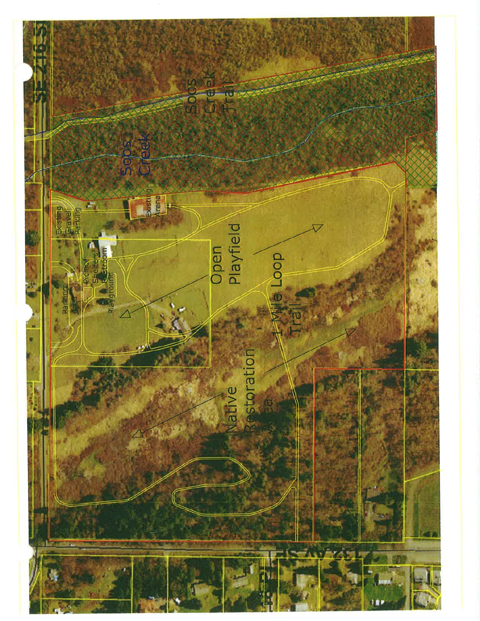